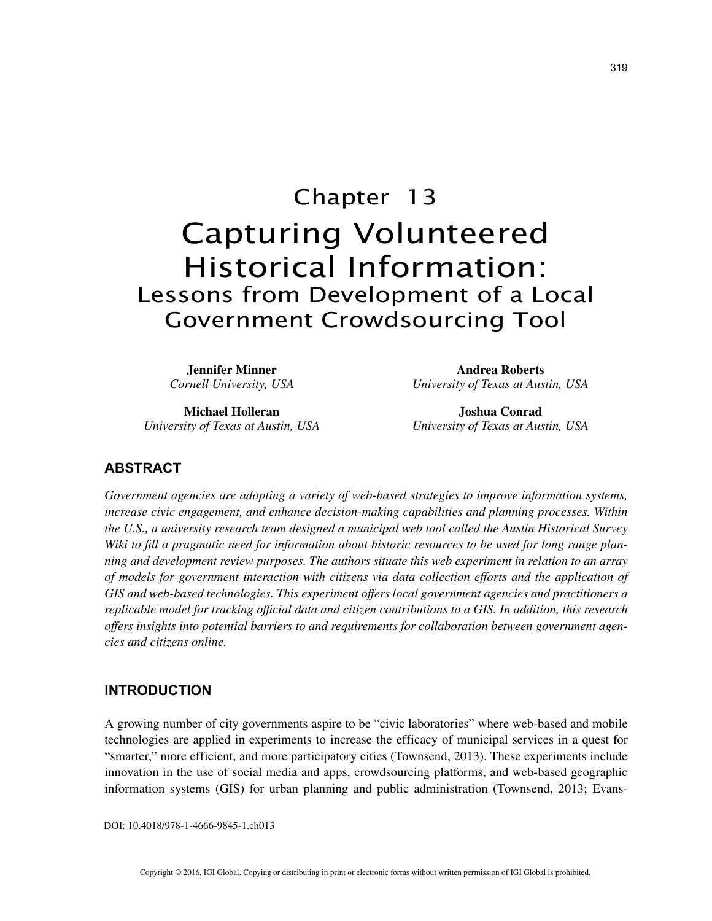# Chapter 13 Capturing Volunteered Historical Information: Lessons from Development of a Local Government Crowdsourcing Tool

**Jennifer Minner** *Cornell University, USA*

**Andrea Roberts** *University of Texas at Austin, USA*

**Michael Holleran** *University of Texas at Austin, USA*

**Joshua Conrad** *University of Texas at Austin, USA*

## **ABSTRACT**

*Government agencies are adopting a variety of web-based strategies to improve information systems, increase civic engagement, and enhance decision-making capabilities and planning processes. Within the U.S., a university research team designed a municipal web tool called the Austin Historical Survey Wiki to fill a pragmatic need for information about historic resources to be used for long range planning and development review purposes. The authors situate this web experiment in relation to an array of models for government interaction with citizens via data collection efforts and the application of GIS and web-based technologies. This experiment offers local government agencies and practitioners a replicable model for tracking official data and citizen contributions to a GIS. In addition, this research offers insights into potential barriers to and requirements for collaboration between government agencies and citizens online.*

## **INTRODUCTION**

A growing number of city governments aspire to be "civic laboratories" where web-based and mobile technologies are applied in experiments to increase the efficacy of municipal services in a quest for "smarter," more efficient, and more participatory cities (Townsend, 2013). These experiments include innovation in the use of social media and apps, crowdsourcing platforms, and web-based geographic information systems (GIS) for urban planning and public administration (Townsend, 2013; Evans-

DOI: 10.4018/978-1-4666-9845-1.ch013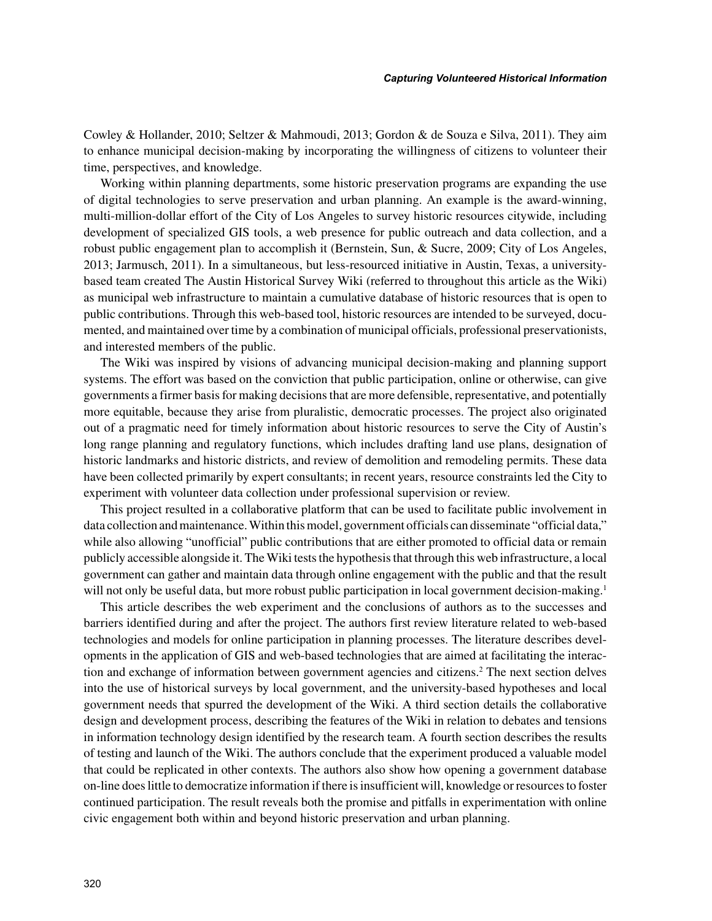Cowley & Hollander, 2010; Seltzer & Mahmoudi, 2013; Gordon & de Souza e Silva, 2011). They aim to enhance municipal decision-making by incorporating the willingness of citizens to volunteer their time, perspectives, and knowledge.

Working within planning departments, some historic preservation programs are expanding the use of digital technologies to serve preservation and urban planning. An example is the award-winning, multi-million-dollar effort of the City of Los Angeles to survey historic resources citywide, including development of specialized GIS tools, a web presence for public outreach and data collection, and a robust public engagement plan to accomplish it (Bernstein, Sun, & Sucre, 2009; City of Los Angeles, 2013; Jarmusch, 2011). In a simultaneous, but less-resourced initiative in Austin, Texas, a universitybased team created The Austin Historical Survey Wiki (referred to throughout this article as the Wiki) as municipal web infrastructure to maintain a cumulative database of historic resources that is open to public contributions. Through this web-based tool, historic resources are intended to be surveyed, documented, and maintained over time by a combination of municipal officials, professional preservationists, and interested members of the public.

The Wiki was inspired by visions of advancing municipal decision-making and planning support systems. The effort was based on the conviction that public participation, online or otherwise, can give governments a firmer basis for making decisions that are more defensible, representative, and potentially more equitable, because they arise from pluralistic, democratic processes. The project also originated out of a pragmatic need for timely information about historic resources to serve the City of Austin's long range planning and regulatory functions, which includes drafting land use plans, designation of historic landmarks and historic districts, and review of demolition and remodeling permits. These data have been collected primarily by expert consultants; in recent years, resource constraints led the City to experiment with volunteer data collection under professional supervision or review.

This project resulted in a collaborative platform that can be used to facilitate public involvement in data collection and maintenance. Within this model, government officials can disseminate "official data," while also allowing "unofficial" public contributions that are either promoted to official data or remain publicly accessible alongside it. The Wiki tests the hypothesis that through this web infrastructure, a local government can gather and maintain data through online engagement with the public and that the result will not only be useful data, but more robust public participation in local government decision-making.<sup>1</sup>

This article describes the web experiment and the conclusions of authors as to the successes and barriers identified during and after the project. The authors first review literature related to web-based technologies and models for online participation in planning processes. The literature describes developments in the application of GIS and web-based technologies that are aimed at facilitating the interaction and exchange of information between government agencies and citizens.<sup>2</sup> The next section delves into the use of historical surveys by local government, and the university-based hypotheses and local government needs that spurred the development of the Wiki. A third section details the collaborative design and development process, describing the features of the Wiki in relation to debates and tensions in information technology design identified by the research team. A fourth section describes the results of testing and launch of the Wiki. The authors conclude that the experiment produced a valuable model that could be replicated in other contexts. The authors also show how opening a government database on-line does little to democratize information if there is insufficient will, knowledge or resources to foster continued participation. The result reveals both the promise and pitfalls in experimentation with online civic engagement both within and beyond historic preservation and urban planning.